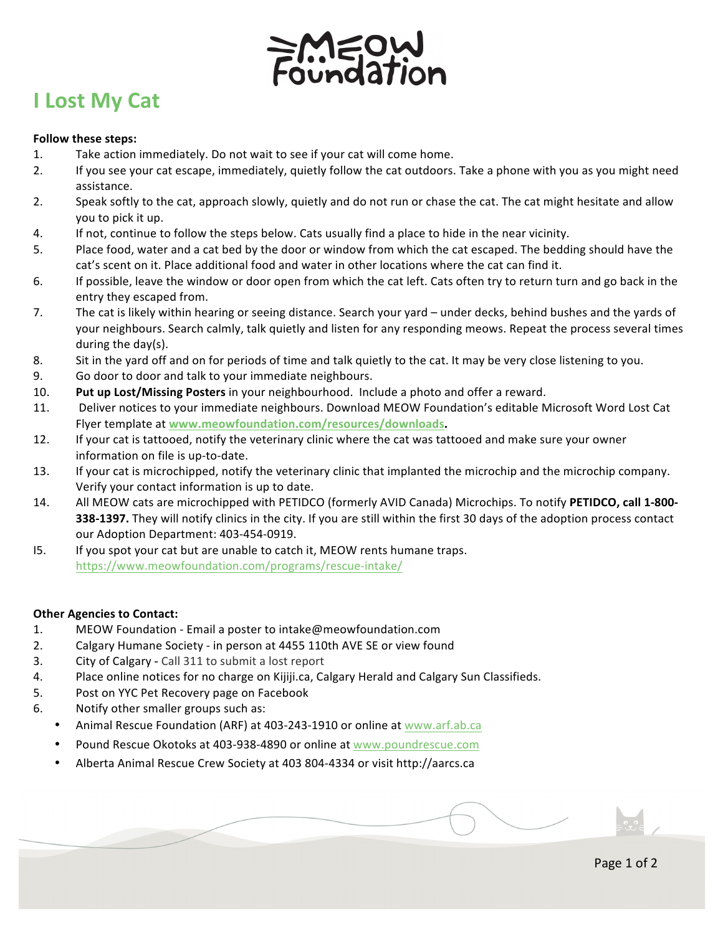

## **I Lost My Cat**

## **Follow these steps:**

- 1. Take action immediately. Do not wait to see if your cat will come home.
- 2. If you see your cat escape, immediately, quietly follow the cat outdoors. Take a phone with you as you might need assistance.
- 2. Speak softly to the cat, approach slowly, quietly and do not run or chase the cat. The cat might hesitate and allow you to pick it up.
- 4. If not, continue to follow the steps below. Cats usually find a place to hide in the near vicinity.
- 5. Place food, water and a cat bed by the door or window from which the cat escaped. The bedding should have the cat's scent on it. Place additional food and water in other locations where the cat can find it.
- 6. If possible, leave the window or door open from which the cat left. Cats often try to return turn and go back in the entry they escaped from.
- 7. The cat is likely within hearing or seeing distance. Search your yard under decks, behind bushes and the yards of your neighbours. Search calmly, talk quietly and listen for any responding meows. Repeat the process several times during the  $day(s)$ .
- 8. Sit in the yard off and on for periods of time and talk quietly to the cat. It may be very close listening to you.
- 9. Go door to door and talk to your immediate neighbours.
- 10. **Put up Lost/Missing Posters** in your neighbourhood. Include a photo and offer a reward.
- 11. Deliver notices to your immediate neighbours. Download MEOW Foundation's editable Microsoft Word Lost Cat Flyer template at www.meowfoundation.com/resources/downloads.
- 12. If your cat is tattooed, notify the veterinary clinic where the cat was tattooed and make sure your owner information on file is up-to-date.
- 13. If your cat is microchipped, notify the veterinary clinic that implanted the microchip and the microchip company. Verify your contact information is up to date.
- 14. All MEOW cats are microchipped with PETIDCO (formerly AVID Canada) Microchips. To notify **PETIDCO, call 1-800-338-1397.** They will notify clinics in the city. If you are still within the first 30 days of the adoption process contact our Adoption Department: 403-454-0919.
- I5. If you spot your cat but are unable to catch it, MEOW rents humane traps. https://www.meowfoundation.com/programs/rescue-intake/

## **Other Agencies to Contact:**

- 1. MEOW Foundation Email a poster to intake@meowfoundation.com
- 2. Calgary Humane Society in person at 4455 110th AVE SE or view found
- 3. City of Calgary Call 311 to submit a lost report
- 4. Place online notices for no charge on Kijiji.ca, Calgary Herald and Calgary Sun Classifieds.
- 5. Post on YYC Pet Recovery page on Facebook
- 6. Notify other smaller groups such as:
	- Animal Rescue Foundation (ARF) at 403-243-1910 or online at www.arf.ab.ca
	- Pound Rescue Okotoks at 403-938-4890 or online at www.poundrescue.com
	- Alberta Animal Rescue Crew Society at 403 804-4334 or visit http://aarcs.ca